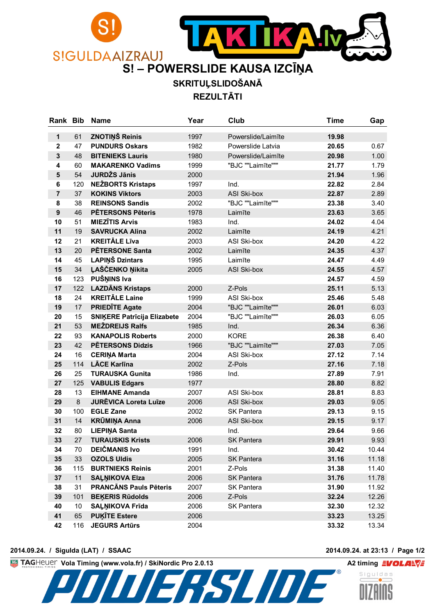

**SKRITUĻSLIDOŠANĀ**

**REZULTĀTI**

| Rank Bib       |         | <b>Name</b>                        | Year | Club               | Time  | Gap   |
|----------------|---------|------------------------------------|------|--------------------|-------|-------|
| 1              | 61      | <b>ZNOTIŅŠ Reinis</b>              | 1997 | Powerslide/Laimīte | 19.98 |       |
| $\mathbf 2$    | 47      | <b>PUNDURS Oskars</b>              | 1982 | Powerslide Latvia  | 20.65 | 0.67  |
| $\mathbf 3$    | 48      | <b>BITENIEKS Lauris</b>            | 1980 | Powerslide/Laimīte | 20.98 | 1.00  |
| 4              | 60      | <b>MAKARENKO Vadims</b>            | 1999 | "BJC ""Laimīte"""  | 21.77 | 1.79  |
| $5\phantom{1}$ | 54      | <b>JURDŽS Jānis</b>                | 2000 |                    | 21.94 | 1.96  |
| 6              | 120     | <b>NEŽBORTS Kristaps</b>           | 1997 | Ind.               | 22.82 | 2.84  |
| $\overline{7}$ | 37      | <b>KOKINS Viktors</b>              | 2003 | <b>ASI Ski-box</b> | 22.87 | 2.89  |
| 8              | 38      | <b>REINSONS Sandis</b>             | 2002 | "BJC ""Laimīte"""  | 23.38 | 3.40  |
| 9              | 46      | <b>PĒTERSONS Pēteris</b>           | 1978 | Laimīte            | 23.63 | 3.65  |
| 10             | 51      | <b>MIEZĪTIS Arvis</b>              | 1983 | Ind.               | 24.02 | 4.04  |
| 11             | 19      | <b>SAVRUCKA Alina</b>              | 2002 | Laimīte            | 24.19 | 4.21  |
| 12             | 21      | <b>KREITÄLE Līva</b>               | 2003 | ASI Ski-box        | 24.20 | 4.22  |
| 13             | 20      | <b>PĒTERSONE Santa</b>             | 2002 | Laimīte            | 24.35 | 4.37  |
| 14             | 45      | <b>LAPIŅŠ Dzintars</b>             | 1995 | Laimīte            | 24.47 | 4.49  |
| 15             | 34      | ĻAŠČENKO Ņikita                    | 2005 | <b>ASI Ski-box</b> | 24.55 | 4.57  |
| 16             | 123     | PUŠŅINS Iva                        |      |                    | 24.57 | 4.59  |
| 17             | 122     | <b>LAZDĀNS Kristaps</b>            | 2000 | Z-Pols             | 25.11 | 5.13  |
| 18             | 24      | <b>KREITÄLE Laine</b>              | 1999 | ASI Ski-box        | 25.46 | 5.48  |
| 19             | 17      | <b>PRIEDITE Agate</b>              | 2004 | "BJC ""Laimīte"""  | 26.01 | 6.03  |
| 20             | 15      | <b>SNIKERE Patricija Elizabete</b> | 2004 | "BJC ""Laimīte"""  | 26.03 | 6.05  |
| 21             | 53      | <b>MEŽDREIJS Ralfs</b>             | 1985 | Ind.               | 26.34 | 6.36  |
| 22             | 93      | <b>KANAPOLIS Roberts</b>           | 2000 | <b>KORE</b>        | 26.38 | 6.40  |
| 23             | 42      | <b>PĒTERSONS Didzis</b>            | 1966 | "BJC ""Laimīte"""  | 27.03 | 7.05  |
| 24             | 16      | <b>CERINA Marta</b>                | 2004 | ASI Ski-box        | 27.12 | 7.14  |
| 25             | 114     | <b>LĀCE Karlīna</b>                | 2002 | Z-Pols             | 27.16 | 7.18  |
| 26             | 25      | <b>TURAUSKA Gunita</b>             | 1986 | Ind.               | 27.89 | 7.91  |
| 27             | 125     | <b>VABULIS Edgars</b>              | 1977 |                    | 28.80 | 8.82  |
| 28             | 13      | <b>EIHMANE Amanda</b>              | 2007 | <b>ASI Ski-box</b> | 28.81 | 8.83  |
| 29             | $\bf 8$ | <b>JURĒVICA Loreta Luīze</b>       | 2006 | ASI Ski-box        | 29.03 | 9.05  |
| 30             | 100     | <b>EGLE Zane</b>                   | 2002 | <b>SK Pantera</b>  | 29.13 | 9.15  |
| 31             | 14      | <b>KRŪMIŅA Anna</b>                | 2006 | <b>ASI Ski-box</b> | 29.15 | 9.17  |
| 32             | 80      | <b>LIEPIŅA Santa</b>               |      | Ind.               | 29.64 | 9.66  |
| 33             | 27      | <b>TURAUSKIS Krists</b>            | 2006 | <b>SK Pantera</b>  | 29.91 | 9.93  |
| 34             | 70      | <b>DEICMANIS Ivo</b>               | 1991 | Ind.               | 30.42 | 10.44 |
| 35             | 33      | <b>OZOLS Uldis</b>                 | 2005 | <b>SK Pantera</b>  | 31.16 | 11.18 |
| 36             | 115     | <b>BURTNIEKS Reinis</b>            | 2001 | Z-Pols             | 31.38 | 11.40 |
| 37             | 11      | <b>SAĻŅIKOVA Elza</b>              | 2006 | <b>SK Pantera</b>  | 31.76 | 11.78 |
| 38             | 31      | <b>PRANCĀNS Pauls Pēteris</b>      | 2007 | SK Pantera         | 31.90 | 11.92 |
| 39             | 101     | <b>BEKERIS Rūdolds</b>             | 2006 | Z-Pols             | 32.24 | 12.26 |
| 40             | 10      | <b>SALNIKOVA Frida</b>             | 2006 | SK Pantera         | 32.30 | 12.32 |
| 41             | 65      | <b>PUKITE Estere</b>               | 2006 |                    | 33.23 | 13.25 |
| 42             | 116     | <b>JEGURS Artūrs</b>               | 2004 |                    | 33.32 | 13.34 |

**2014.09.24. / Sigulda (LAT) / SSAAC 2014.09.24. at 23:13 / Page 1/2**

**Vola Timing (www.vola.fr) / SkiNordic Pro 2.0.13 A2 timing A2 timing EVOLALVE**